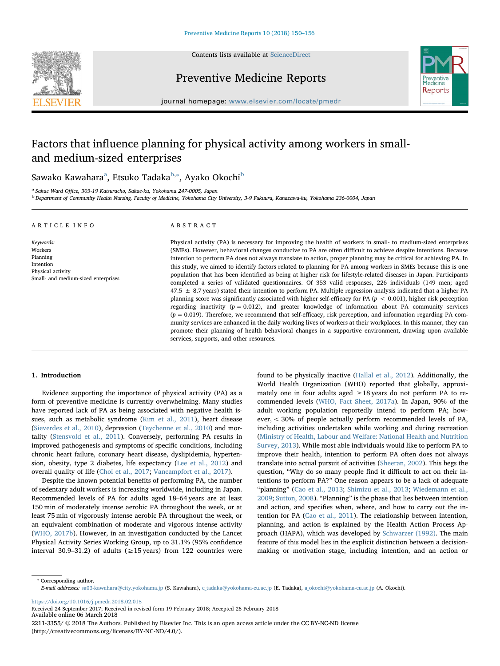

Contents lists available at [ScienceDirect](http://www.sciencedirect.com/science/journal/22113355)

Preventive Medicine Reports



journal homepage: [www.elsevier.com/locate/pmedr](https://www.elsevier.com/locate/pmedr)

# Factors that influence planning for physical activity among workers in smalland medium-sized enterprises

S[a](#page-0-0)wako Kawahara<sup>a</sup>, Etsuko Tadaka<sup>[b,](#page-0-1)</sup>\*, Ayako Okochi<sup>[b](#page-0-1)</sup>

<span id="page-0-1"></span>

<span id="page-0-0"></span>a Sakae Ward Office, 303-19 Katsuracho, Sakae-ku, Yokohama 247-0005, Japan babatanya, 3-9 Fukuura, Kanazawa-ku, Yokohama 236-0004, Japan babatanine, Yokohama 236-0004, Japan babataine, Yokohama 236-0004, Japan

# ARTICLE INFO

#### ABSTRACT

Keywords: Workers Planning Intention Physical activity Small- and medium-sized enterprises

Physical activity (PA) is necessary for improving the health of workers in small- to medium-sized enterprises (SMEs). However, behavioral changes conducive to PA are often difficult to achieve despite intentions. Because intention to perform PA does not always translate to action, proper planning may be critical for achieving PA. In this study, we aimed to identify factors related to planning for PA among workers in SMEs because this is one population that has been identified as being at higher risk for lifestyle-related diseases in Japan. Participants completed a series of validated questionnaires. Of 353 valid responses, 226 individuals (149 men; aged  $47.5 \pm 8.7$  years) stated their intention to perform PA. Multiple regression analysis indicated that a higher PA planning score was significantly associated with higher self-efficacy for PA ( $p < 0.001$ ), higher risk perception regarding inactivity  $(p = 0.012)$ , and greater knowledge of information about PA community services  $(p = 0.019)$ . Therefore, we recommend that self-efficacy, risk perception, and information regarding PA community services are enhanced in the daily working lives of workers at their workplaces. In this manner, they can promote their planning of health behavioral changes in a supportive environment, drawing upon available services, supports, and other resources.

# 1. Introduction

Evidence supporting the importance of physical activity (PA) as a form of preventive medicine is currently overwhelming. Many studies have reported lack of PA as being associated with negative health issues, such as metabolic syndrome [\(Kim et al., 2011\)](#page-5-0), heart disease ([Sieverdes et al., 2010\)](#page-6-0), depression ([Teychenne et al., 2010](#page-6-1)) and mortality ([Stensvold et al., 2011\)](#page-6-2). Conversely, performing PA results in improved pathogenesis and symptoms of specific conditions, including chronic heart failure, coronary heart disease, dyslipidemia, hypertension, obesity, type 2 diabetes, life expectancy ([Lee et al., 2012](#page-5-1)) and overall quality of life [\(Choi et al., 2017](#page-5-2); [Vancampfort et al., 2017](#page-6-3)).

Despite the known potential benefits of performing PA, the number of sedentary adult workers is increasing worldwide, including in Japan. Recommended levels of PA for adults aged 18–64 years are at least 150 min of moderately intense aerobic PA throughout the week, or at least 75 min of vigorously intense aerobic PA throughout the week, or an equivalent combination of moderate and vigorous intense activity ([WHO, 2017b](#page-6-4)). However, in an investigation conducted by the Lancet Physical Activity Series Working Group, up to 31.1% (95% confidence interval 30.9–31.2) of adults ( $\geq$  15 years) from 122 countries were found to be physically inactive ([Hallal et al., 2012](#page-5-3)). Additionally, the World Health Organization (WHO) reported that globally, approximately one in four adults aged  $\geq 18$  years do not perform PA to recommended levels ([WHO, Fact Sheet, 2017a](#page-6-5)). In Japan, 90% of the adult working population reportedly intend to perform PA; however, < 30% of people actually perform recommended levels of PA, including activities undertaken while working and during recreation ([Ministry of Health, Labour and Welfare: National Health and Nutrition](#page-5-4) [Survey, 2013\)](#page-5-4). While most able individuals would like to perform PA to improve their health, intention to perform PA often does not always translate into actual pursuit of activities [\(Sheeran, 2002\)](#page-5-5). This begs the question, "Why do so many people find it difficult to act on their intentions to perform PA?" One reason appears to be a lack of adequate "planning" ([Cao et al., 2013;](#page-5-6) [Shimizu et al., 2013;](#page-6-6) [Wiedemann et al.,](#page-6-7) [2009;](#page-6-7) [Sutton, 2008\)](#page-6-8). "Planning" is the phase that lies between intention and action, and specifies when, where, and how to carry out the intention for PA ([Cao et al., 2011](#page-5-7)). The relationship between intention, planning, and action is explained by the Health Action Process Approach (HAPA), which was developed by [Schwarzer \(1992\)](#page-5-8). The main feature of this model lies in the explicit distinction between a decisionmaking or motivation stage, including intention, and an action or

<span id="page-0-2"></span>⁎ Corresponding author. E-mail addresses: [sa03-kawahara@city.yokohama.jp](mailto:sa03-kawahara@city.yokohama.jp) (S. Kawahara), [e\\_tadaka@yokohama-cu.ac.jp](mailto:e_tadaka@yokohama-cu.ac.jp) (E. Tadaka), [a\\_okochi@yokohama-cu.ac.jp](mailto:a_okochi@yokohama-cu.ac.jp) (A. Okochi).

<https://doi.org/10.1016/j.pmedr.2018.02.015>

Received 24 September 2017; Received in revised form 19 February 2018; Accepted 26 February 2018 Available online 06 March 2018

2211-3355/ © 2018 The Authors. Published by Elsevier Inc. This is an open access article under the CC BY-NC-ND license (http://creativecommons.org/licenses/BY-NC-ND/4.0/).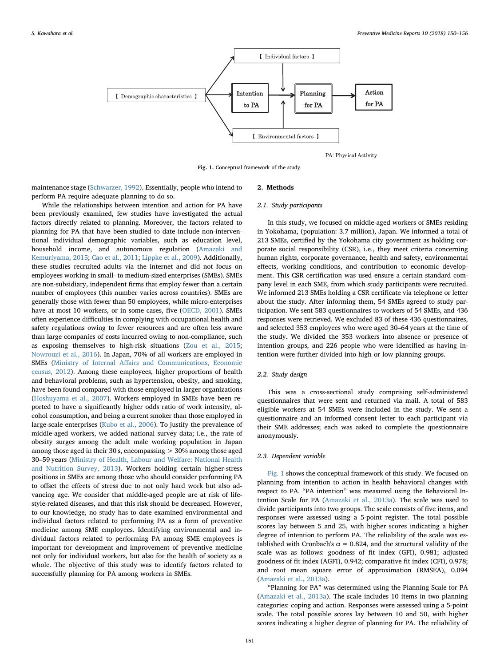<span id="page-1-0"></span>

PA: Physical Activity

Fig. 1. Conceptual framework of the study.

maintenance stage [\(Schwarzer, 1992](#page-5-8)). Essentially, people who intend to perform PA require adequate planning to do so.

While the relationships between intention and action for PA have been previously examined, few studies have investigated the actual factors directly related to planning. Moreover, the factors related to planning for PA that have been studied to date include non-interventional individual demographic variables, such as education level, household income, and autonomous regulation [\(Amazaki and](#page-5-9) [Kemuriyama, 2015;](#page-5-9) [Cao et al., 2011;](#page-5-7) [Lippke et al., 2009](#page-5-10)). Additionally, these studies recruited adults via the internet and did not focus on employees working in small- to medium-sized enterprises (SMEs). SMEs are non-subsidiary, independent firms that employ fewer than a certain number of employees (this number varies across countries). SMEs are generally those with fewer than 50 employees, while micro-enterprises have at most 10 workers, or in some cases, five [\(OECD, 2001](#page-5-11)). SMEs often experience difficulties in complying with occupational health and safety regulations owing to fewer resources and are often less aware than large companies of costs incurred owing to non-compliance, such as exposing themselves to high-risk situations ([Zou et al., 2015](#page-6-9); [Nowrouzi et al., 2016\)](#page-5-12). In Japan, 70% of all workers are employed in SMEs (Ministry of Internal Aff[airs and Communications, Economic](#page-5-13) [census, 2012](#page-5-13)). Among these employees, higher proportions of health and behavioral problems, such as hypertension, obesity, and smoking, have been found compared with those employed in larger organizations ([Hoshuyama et al., 2007\)](#page-5-14). Workers employed in SMEs have been reported to have a significantly higher odds ratio of work intensity, alcohol consumption, and being a current smoker than those employed in large-scale enterprises ([Kubo et al., 2006](#page-5-15)). To justify the prevalence of middle-aged workers, we added national survey data; i.e., the rate of obesity surges among the adult male working population in Japan among those aged in their 30 s, encompassing  $>$  30% among those aged 30–59 years [\(Ministry of Health, Labour and Welfare: National Health](#page-5-4) [and Nutrition Survey, 2013\)](#page-5-4). Workers holding certain higher-stress positions in SMEs are among those who should consider performing PA to offset the effects of stress due to not only hard work but also advancing age. We consider that middle-aged people are at risk of lifestyle-related diseases, and that this risk should be decreased. However, to our knowledge, no study has to date examined environmental and individual factors related to performing PA as a form of preventive medicine among SME employees. Identifying environmental and individual factors related to performing PA among SME employees is important for development and improvement of preventive medicine not only for individual workers, but also for the health of society as a whole. The objective of this study was to identify factors related to successfully planning for PA among workers in SMEs.

# 2. Methods

#### 2.1. Study participants

In this study, we focused on middle-aged workers of SMEs residing in Yokohama, (population: 3.7 million), Japan. We informed a total of 213 SMEs, certified by the Yokohama city government as holding corporate social responsibility (CSR), i.e., they meet criteria concerning human rights, corporate governance, health and safety, environmental effects, working conditions, and contribution to economic development. This CSR certification was used ensure a certain standard company level in each SME, from which study participants were recruited. We informed 213 SMEs holding a CSR certificate via telephone or letter about the study. After informing them, 54 SMEs agreed to study participation. We sent 583 questionnaires to workers of 54 SMEs, and 436 responses were retrieved. We excluded 83 of these 436 questionnaires, and selected 353 employees who were aged 30–64 years at the time of the study. We divided the 353 workers into absence or presence of intention groups, and 226 people who were identified as having intention were further divided into high or low planning groups.

### 2.2. Study design

This was a cross-sectional study comprising self-administered questionnaires that were sent and returned via mail. A total of 583 eligible workers at 54 SMEs were included in the study. We sent a questionnaire and an informed consent letter to each participant via their SME addresses; each was asked to complete the questionnaire anonymously.

#### 2.3. Dependent variable

[Fig. 1](#page-1-0) shows the conceptual framework of this study. We focused on planning from intention to action in health behavioral changes with respect to PA. "PA intention" was measured using the Behavioral Intention Scale for PA [\(Amazaki et al., 2013a\)](#page-5-16). The scale was used to divide participants into two groups. The scale consists of five items, and responses were assessed using a 5-point register. The total possible scores lay between 5 and 25, with higher scores indicating a higher degree of intention to perform PA. The reliability of the scale was established with Cronbach's  $\alpha$  = 0.824, and the structural validity of the scale was as follows: goodness of fit index (GFI), 0.981; adjusted goodness of fit index (AGFI), 0.942; comparative fit index (CFI), 0.978; and root mean square error of approximation (RMSEA), 0.094 ([Amazaki et al., 2013a\)](#page-5-16).

"Planning for PA" was determined using the Planning Scale for PA ([Amazaki et al., 2013a\)](#page-5-16). The scale includes 10 items in two planning categories: coping and action. Responses were assessed using a 5-point scale. The total possible scores lay between 10 and 50, with higher scores indicating a higher degree of planning for PA. The reliability of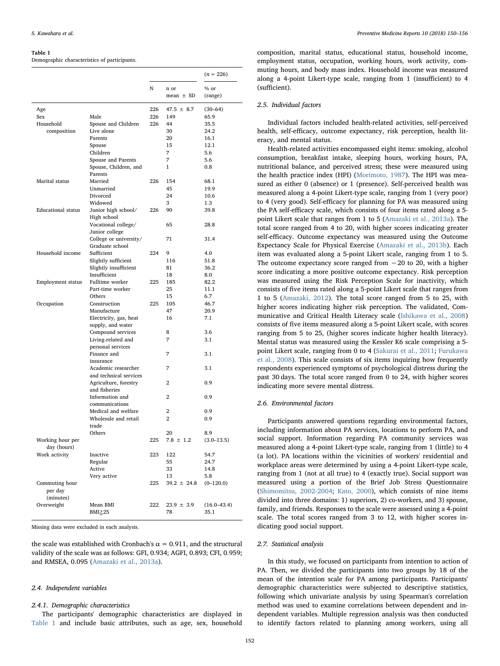#### <span id="page-2-0"></span>Table 1

Demographic characteristics of participants.

|                                 |                                               |     |                     | $(n = 226)$     |
|---------------------------------|-----------------------------------------------|-----|---------------------|-----------------|
|                                 |                                               | N   | n or                | % or            |
|                                 |                                               |     | $mean \pm SD$       | (range)         |
| Age                             |                                               | 226 | $47.5 \pm 8.7$      | $(30-64)$       |
| Sex                             | Male                                          | 226 | 149                 | 65.9            |
| Household                       | Spouse and Children                           | 226 | 44                  | 35.5            |
| composition                     | Live alone                                    |     | 30                  | 24.2            |
|                                 | Parents                                       |     | 20                  | 16.1            |
|                                 | Spouse                                        |     | 15                  | 12.1            |
|                                 | Children                                      |     | 7                   | 5.6             |
|                                 | Spouse and Parents                            |     | 7                   | 5.6             |
|                                 | Spouse, Children, and<br>Parents              |     | 1                   | 0.8             |
| Marital status                  | Married                                       | 226 | 154                 | 68.1            |
|                                 | Unmarried                                     |     | 45                  | 19.9            |
|                                 | Divorced                                      |     | 24                  | 10.6            |
|                                 | Widowed                                       |     | 3                   | 1.3             |
| <b>Educational</b> status       | Junior high school/                           | 226 | 90                  | 39.8            |
|                                 | High school<br>Vocational college/            |     | 65                  | 28.8            |
|                                 | Junior college                                |     |                     |                 |
|                                 | College or university/<br>Graduate school     |     | 71                  | 31.4            |
| Household income                | Sufficient                                    | 224 | 9                   | 4.0             |
|                                 | Slightly sufficient                           |     | 116                 | 51.8            |
|                                 | Slightly insufficient                         |     | 81                  | 36.2            |
|                                 | Insufficient                                  |     | 18                  | 8.0             |
| Employment status               | Fulltime worker                               | 225 | 185                 | 82.2            |
|                                 | Part-time worker                              |     | 25                  | 11.1            |
|                                 | Others                                        |     | 15                  | 6.7             |
| Occupation                      | Construction                                  | 225 | 105                 | 46.7            |
|                                 | Manufacture                                   |     | 47                  | 20.9            |
|                                 | Electricity, gas, heat<br>supply, and water   |     | 16                  | 7.1             |
|                                 | Compound services                             |     | 8                   | 3.6             |
|                                 | Living-related and<br>personal services       |     | 7                   | 3.1             |
|                                 | Finance and                                   |     | 7                   | 3.1             |
|                                 | insurance                                     |     |                     |                 |
|                                 | Academic researcher<br>and technical services |     | 7                   | 3.1             |
|                                 | Agriculture, forestry<br>and fisheries        |     | 2                   | 0.9             |
|                                 | Information and                               |     | 2                   | 0.9             |
|                                 | communications                                |     |                     |                 |
|                                 | Medical and welfare<br>Wholesale and retail   |     | 2<br>$\overline{2}$ | 0.9<br>0.9      |
|                                 | trade                                         |     |                     |                 |
|                                 | Others                                        |     | 20                  | 8.9             |
| Working hour per<br>day (hours) |                                               | 225 | $7.8 \pm 1.2$       | $(3.0 - 13.5)$  |
| Work activity                   | Inactive                                      | 223 | 122                 | 54.7            |
|                                 | Regular                                       |     | 55                  | 24.7            |
|                                 | Active                                        |     | 33                  | 14.8            |
|                                 | Very active                                   |     | 13                  | 5.8             |
| Commuting hour                  |                                               | 225 | $39.2 \pm 24.8$     | $(0-120.0)$     |
| per day                         |                                               |     |                     |                 |
| (minutes)                       |                                               |     |                     |                 |
| Overweight                      | Mean BMI                                      | 222 | $23.9 \pm 3.9$      | $(16.0 - 43.4)$ |
|                                 | BMI≥25                                        |     | 78                  | 35.1            |

Missing data were excluded in each analysis.

the scale was established with Cronbach's  $\alpha = 0.911$ , and the structural validity of the scale was as follows: GFI, 0.934; AGFI, 0.893; CFI, 0.959; and RMSEA, 0.095 [\(Amazaki et al., 2013a](#page-5-16)).

#### 2.4. Independent variables

# 2.4.1. Demographic characteristics

The participants' demographic characteristics are displayed in [Table 1](#page-2-0) and include basic attributes, such as age, sex, household composition, marital status, educational status, household income, employment status, occupation, working hours, work activity, commuting hours, and body mass index. Household income was measured along a 4-point Likert-type scale, ranging from 1 (insufficient) to 4 (sufficient).

# 2.5. Individual factors

Individual factors included health-related activities, self-perceived health, self-efficacy, outcome expectancy, risk perception, health literacy, and mental status.

Health-related activities encompassed eight items: smoking, alcohol consumption, breakfast intake, sleeping hours, working hours, PA, nutritional balance, and perceived stress; these were measured using the health practice index (HPI) ([Morimoto, 1987](#page-5-17)). The HPI was measured as either 0 (absence) or 1 (presence). Self-perceived health was measured along a 4-point Likert-type scale, ranging from 1 (very poor) to 4 (very good). Self-efficacy for planning for PA was measured using the PA self-efficacy scale, which consists of four items rated along a 5 point Likert scale that ranges from 1 to 5 ([Amazaki et al., 2013a\)](#page-5-16). The total score ranged from 4 to 20, with higher scores indicating greater self-efficacy. Outcome expectancy was measured using the Outcome Expectancy Scale for Physical Exercise [\(Amazaki et al., 2013b](#page-5-18)). Each item was evaluated along a 5-point Likert scale, ranging from 1 to 5. The outcome expectancy score ranged from −20 to 20, with a higher score indicating a more positive outcome expectancy. Risk perception was measured using the Risk Perception Scale for inactivity, which consists of five items rated along a 5-point Likert scale that ranges from 1 to 5 ([Amazaki, 2012](#page-5-19)). The total score ranged from 5 to 25, with higher scores indicating higher risk perception. The validated, Communicative and Critical Health Literacy scale [\(Ishikawa et al., 2008\)](#page-5-20) consists of five items measured along a 5-point Likert scale, with scores ranging from 5 to 25, (higher scores indicate higher health literacy). Mental status was measured using the Kessler K6 scale comprising a 5 point Likert scale, ranging from 0 to 4 [\(Sakurai et al., 2011;](#page-5-21) [Furukawa](#page-5-22) [et al., 2008\)](#page-5-22). This scale consists of six items inquiring how frequently respondents experienced symptoms of psychological distress during the past 30 days. The total score ranged from 0 to 24, with higher scores indicating more severe mental distress.

#### 2.6. Environmental factors

Participants answered questions regarding environmental factors, including information about PA services, locations to perform PA, and social support. Information regarding PA community services was measured along a 4-point Likert-type scale, ranging from 1 (little) to 4 (a lot). PA locations within the vicinities of workers' residential and workplace areas were determined by using a 4-point Likert-type scale, ranging from 1 (not at all true) to 4 (exactly true). Social support was measured using a portion of the Brief Job Stress Questionnaire ([Shimomitsu, 2002-2004](#page-6-10); [Kato, 2000\)](#page-5-23), which consists of nine items divided into three domains: 1) superiors, 2) co-workers, and 3) spouse, family, and friends. Responses to the scale were assessed using a 4-point scale. The total scores ranged from 3 to 12, with higher scores indicating good social support.

# 2.7. Statistical analysis

In this study, we focused on participants from intention to action of PA. Then, we divided the participants into two groups by 18 of the mean of the intention scale for PA among participants. Participants' demographic characteristics were subjected to descriptive statistics, following which univariate analysis by using Spearman's correlation method was used to examine correlations between dependent and independent variables. Multiple regression analysis was then conducted to identify factors related to planning among workers, using all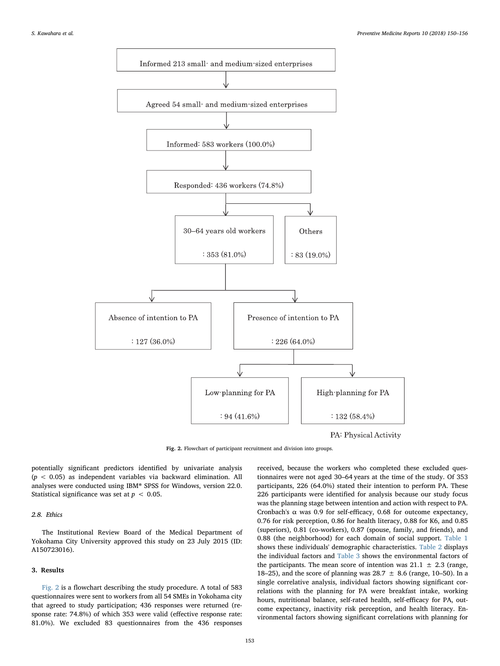<span id="page-3-0"></span>

Fig. 2. Flowchart of participant recruitment and division into groups.

potentially significant predictors identified by univariate analysis  $(p < 0.05)$  as independent variables via backward elimination. All analyses were conducted using IBM® SPSS for Windows, version 22.0. Statistical significance was set at  $p < 0.05$ .

# 2.8. Ethics

The Institutional Review Board of the Medical Department of Yokohama City University approved this study on 23 July 2015 (ID: A150723016).

# 3. Results

[Fig. 2](#page-3-0) is a flowchart describing the study procedure. A total of 583 questionnaires were sent to workers from all 54 SMEs in Yokohama city that agreed to study participation; 436 responses were returned (response rate: 74.8%) of which 353 were valid (effective response rate: 81.0%). We excluded 83 questionnaires from the 436 responses received, because the workers who completed these excluded questionnaires were not aged 30–64 years at the time of the study. Of 353 participants, 226 (64.0%) stated their intention to perform PA. These 226 participants were identified for analysis because our study focus was the planning stage between intention and action with respect to PA. Cronbach's  $\alpha$  was 0.9 for self-efficacy, 0.68 for outcome expectancy, 0.76 for risk perception, 0.86 for health literacy, 0.88 for K6, and 0.85 (superiors), 0.81 (co-workers), 0.87 (spouse, family, and friends), and 0.88 (the neighborhood) for each domain of social support. [Table 1](#page-2-0) shows these individuals' demographic characteristics. [Table 2](#page-4-0) displays the individual factors and [Table 3](#page-4-1) shows the environmental factors of the participants. The mean score of intention was  $21.1 \pm 2.3$  (range, 18–25), and the score of planning was 28.7  $\pm$  8.6 (range, 10–50). In a single correlative analysis, individual factors showing significant correlations with the planning for PA were breakfast intake, working hours, nutritional balance, self-rated health, self-efficacy for PA, outcome expectancy, inactivity risk perception, and health literacy. Environmental factors showing significant correlations with planning for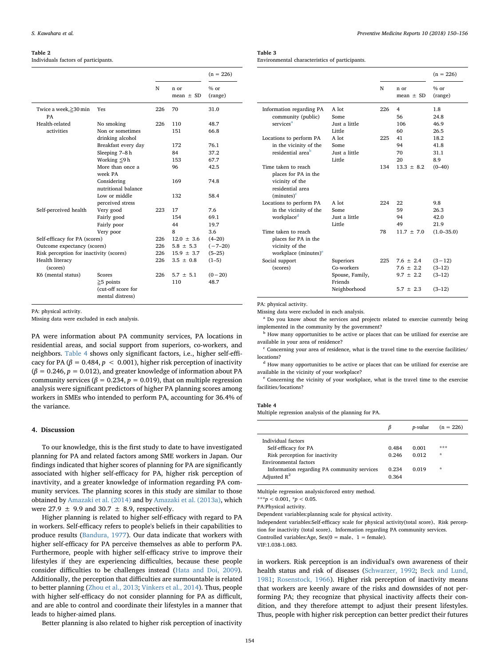#### <span id="page-4-0"></span>Table 2

Individuals factors of participants.

|                                         |                                      |     |                       | $(n = 226)$       |
|-----------------------------------------|--------------------------------------|-----|-----------------------|-------------------|
|                                         |                                      | N   | n or<br>mean $\pm$ SD | $%$ or<br>(range) |
| Twice a week,≥30 min<br>PA              | Yes                                  | 226 | 70                    | 31.0              |
| Health-related                          | No smoking                           | 226 | 110                   | 48.7              |
| activities                              | Non or sometimes<br>drinking alcohol |     | 151                   | 66.8              |
|                                         | Breakfast every day                  |     | 172                   | 76.1              |
|                                         | Sleeping 7-8h                        |     | 84                    | 37.2              |
|                                         | Working $\leq$ 9 h                   |     | 153                   | 67.7              |
|                                         | More than once a<br>week PA          |     | 96                    | 42.5              |
|                                         | Considering<br>nutritional balance   |     | 169                   | 74.8              |
|                                         | Low or middle<br>perceived stress    |     | 132                   | 58.4              |
| Self-perceived health                   | Very good                            | 223 | 17                    | 7.6               |
|                                         | Fairly good                          |     | 154                   | 69.1              |
|                                         | Fairly poor                          |     | 44                    | 19.7              |
|                                         | Very poor                            |     | 8                     | 3.6               |
| Self-efficacy for PA (scores)           |                                      | 226 | $12.0 \pm 3.6$        | $(4 - 20)$        |
| Outcome expectancy (scores)             |                                      | 226 | $5.8 \pm 5.3$         | $(-7-20)$         |
| Risk perception for inactivity (scores) |                                      | 226 | $15.9 \pm 3.7$        | $(5-25)$          |
| Health literacy<br>(scores)             |                                      | 226 | $3.5 \pm 0.8$         | $(1-5)$           |
| K6 (mental status)                      | <b>Scores</b>                        | 226 | $5.7 \pm 5.1$         | $(0-20)$          |
|                                         | $\geq$ 5 points                      |     | 110                   | 48.7              |
|                                         | (cut-off score for                   |     |                       |                   |
|                                         | mental distress)                     |     |                       |                   |

PA: physical activity.

Missing data were excluded in each analysis.

PA were information about PA community services, PA locations in residential areas, and social support from superiors, co-workers, and neighbors. [Table 4](#page-4-2) shows only significant factors, i.e., higher self-efficacy for PA ( $\beta = 0.484$ ,  $p < 0.001$ ), higher risk perception of inactivity  $(\beta = 0.246, p = 0.012)$ , and greater knowledge of information about PA community services ( $\beta = 0.234$ ,  $p = 0.019$ ), that on multiple regression analysis were significant predictors of higher PA planning scores among workers in SMEs who intended to perform PA, accounting for 36.4% of the variance.

# 4. Discussion

To our knowledge, this is the first study to date to have investigated planning for PA and related factors among SME workers in Japan. Our findings indicated that higher scores of planning for PA are significantly associated with higher self-efficacy for PA, higher risk perception of inavtivity, and a greater knowledge of information regarding PA community services. The planning scores in this study are similar to those obtained by [Amazaki et al. \(2014\)](#page-5-24) and by [Amazaki et al. \(2013a\)](#page-5-16), which were 27.9  $\pm$  9.9 and 30.7  $\pm$  8.9, respectively.

Higher planning is related to higher self-efficacy with regard to PA in workers. Self-efficacy refers to people's beliefs in their capabilities to produce results [\(Bandura, 1977\)](#page-5-25). Our data indicate that workers with higher self-efficacy for PA perceive themselves as able to perform PA. Furthermore, people with higher self-efficacy strive to improve their lifestyles if they are experiencing difficulties, because these people consider difficulties to be challenges instead [\(Hata and Doi, 2009](#page-5-26)). Additionally, the perception that difficulties are surmountable is related to better planning [\(Zhou et al., 2013;](#page-6-11) [Vinkers et al., 2014\)](#page-6-12). Thus, people with higher self-efficacy do not consider planning for PA as difficult, and are able to control and coordinate their lifestyles in a manner that leads to higher-aimed plans.

Better planning is also related to higher risk perception of inactivity

# <span id="page-4-1"></span>Table 3

Environmental characteristics of participants.

|                                                                                                     |                            |     |                       | $(n = 226)$       |
|-----------------------------------------------------------------------------------------------------|----------------------------|-----|-----------------------|-------------------|
|                                                                                                     |                            | N   | n or<br>mean $\pm$ SD | $%$ or<br>(range) |
| Information regarding PA                                                                            | A lot                      | 226 | 4                     | 1.8               |
| community (public)                                                                                  | Some                       |     | 56                    | 24.8              |
| services <sup>a</sup>                                                                               | Just a little              |     | 106                   | 46.9              |
|                                                                                                     | Little                     |     | 60                    | 26.5              |
| Locations to perform PA                                                                             | A lot                      | 225 | 41                    | 18.2              |
| in the vicinity of the                                                                              | Some                       |     | 94                    | 41.8              |
| residential area <sup>b</sup>                                                                       | Just a little              |     | 70                    | 31.1              |
|                                                                                                     | Little                     |     | 20                    | 8.9               |
| Time taken to reach<br>places for PA in the<br>vicinity of the<br>residential area<br>$(minutes)^c$ |                            | 134 | $13.3 + 8.2$          | $(0 - 40)$        |
| Locations to perform PA                                                                             | $A$ lot                    | 224 | 22                    | 9.8               |
| in the vicinity of the                                                                              | Some                       |     | 59                    | 26.3              |
| workplace <sup>d</sup>                                                                              | Just a little              |     | 94                    | 42.0              |
|                                                                                                     | Little                     |     | 49                    | 21.9              |
| Time taken to reach<br>places for PA in the<br>vicinity of the<br>workplace (minutes) <sup>e</sup>  |                            | 78  | $11.7 + 7.0$          | $(1.0 - 35.0)$    |
| Social support                                                                                      | Superiors                  | 225 | $7.6 + 2.4$           | $(3-12)$          |
| (scores)                                                                                            | Co-workers                 |     | $7.6 \pm 2.2$         | $(3-12)$          |
|                                                                                                     | Spouse, Family,<br>Friends |     | $9.7 \pm 2.2$         | $(3-12)$          |
|                                                                                                     | Neighborhood               |     | $5.7 \pm 2.3$         | $(3-12)$          |
|                                                                                                     |                            |     |                       |                   |

PA: physical activity.

Missing data were excluded in each analysis.

<span id="page-4-3"></span><sup>a</sup> Do you know about the services and projects related to exercise currently being implemented in the community by the government?

<span id="page-4-4"></span><sup>b</sup> How many opportunities to be active or places that can be utilized for exercise are available in your area of residence?

<span id="page-4-5"></span> $c$  Concerning your area of residence, what is the travel time to the exercise facilities/ locations?

<span id="page-4-6"></span><sup>d</sup> How many opportunities to be active or places that can be utilized for exercise are available in the vicinity of your workplace?

<span id="page-4-7"></span><sup>e</sup> Concerning the vicinity of your workplace, what is the travel time to the exercise facilities/locations?

#### <span id="page-4-2"></span>Table 4

Multiple regression analysis of the planning for PA.

|                                             | β     | p-value | $(n = 226)$ |
|---------------------------------------------|-------|---------|-------------|
| Individual factors                          |       |         |             |
| Self-efficacy for PA                        | 0.484 | 0.001   | ***         |
| Risk perception for inactivity              | 0.246 | 0.012   | $\star$     |
| Environmental factors                       |       |         |             |
| Information regarding PA community services | 0.234 | 0.019   | ÷           |
| Adjusted $R^2$                              | 0.364 |         |             |
|                                             |       |         |             |

Multiple regression analysis:forced entry method.

\*\*\* $p < 0.001$ , \* $p < 0.05$ .

PA:Physical activity.

Dependent variables:planning scale for physical activity.

Independent variables:Self-efficacy scale for physical activity(total score)、Risk perception for inactivity (total score)、Information regarding PA community services.

Controlled variables:Age,  $Sex(0 = male, 1 = female)$ .

VIF:1.038-1.083.

in workers. Risk perception is an individual's own awareness of their health status and risk of diseases ([Schwarzer, 1992;](#page-5-8) [Beck and Lund,](#page-5-27) [1981;](#page-5-27) [Rosenstock, 1966](#page-5-28)). Higher risk perception of inactivity means that workers are keenly aware of the risks and downsides of not performing PA; they recognize that physical inactivity affects their condition, and they therefore attempt to adjust their present lifestyles. Thus, people with higher risk perception can better predict their futures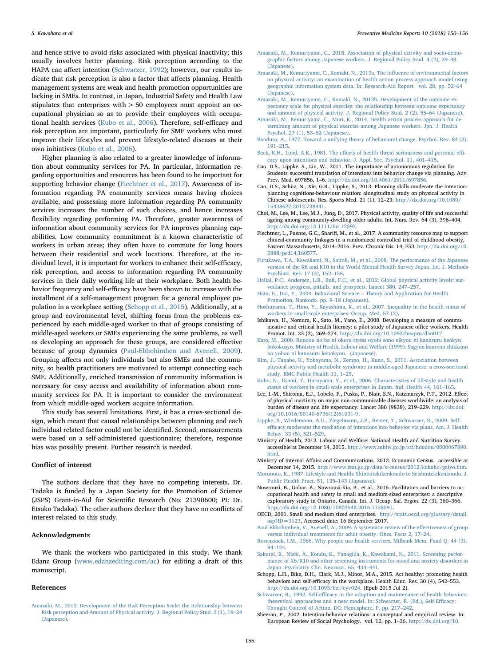and hence strive to avoid risks associated with physical inactivity; this usually involves better planning. Risk perception according to the HAPA can affect intention [\(Schwarzer, 1992\)](#page-5-8); however, our results indicate that risk perception is also a factor that affects planning. Health management systems are weak and health promotion opportunities are lacking in SMEs. In contrast, in Japan, Industrial Safety and Health Law stipulates that enterprises with > 50 employees must appoint an occupational physician so as to provide their employees with occupational health services ([Kubo et al., 2006\)](#page-5-15). Therefore, self-efficacy and risk perception are important, particularly for SME workers who must improve their lifestyles and prevent lifestyle-related diseases at their own initiatives ([Kubo et al., 2006\)](#page-5-15).

Higher planning is also related to a greater knowledge of information about community services for PA. In particular, information regarding opportunities and resources has been found to be important for supporting behavior change [\(Fiechtner et al., 2017\)](#page-5-29). Awareness of information regarding PA community services means having choices available, and possessing more information regarding PA community services increases the number of such choices, and hence increases flexibility regarding performing PA. Therefore, greater awareness of information about community services for PA improves planning capabilities. Low community commitment is a known characteristic of workers in urban areas; they often have to commute for long hours between their residential and work locations. Therefore, at the individual level, it is important for workers to enhance their self-efficacy, risk perception, and access to information regarding PA community services in their daily working life at their workplace. Both health behavior frequency and self-efficacy have been shown to increase with the installment of a self-management program for a general employee population in a workplace setting [\(Schopp et al., 2015\)](#page-5-30). Additionally, at a group and environmental level, shifting focus from the problems experienced by each middle-aged worker to that of groups consisting of middle-aged workers or SMEs experiencing the same problems, as well as developing an approach for these groups, are considered effective because of group dynamics [\(Paul-Ebhohimhen and Avenell, 2009](#page-5-31)). Grouping affects not only individuals but also SMEs and the community, so health practitioners are motivated to attempt connecting each SME. Additionally, enriched transmission of community information is necessary for easy access and availability of information about community services for PA. It is important to consider the environment from which middle-aged workers acquire information.

This study has several limitations. First, it has a cross-sectional design, which meant that causal relationships between planning and each individual related factor could not be identified. Second, measurements were based on a self-administered questionnaire; therefore, response bias was possibly present. Further research is needed.

# Conflict of interest

The authors declare that they have no competing interests. Dr. Tadaka is funded by a Japan Society for the Promotion of Science (JSPS) Grant-in-Aid for Scientific Research (No: 21390600; PI: Dr. Etsuko Tadaka). The other authors declare that they have no conflicts of interest related to this study.

#### Acknowledgments

We thank the workers who participated in this study. We thank Edanz Group ([www.edanzediting.com/ac\)](http://www.edanzediting.com/ac) for editing a draft of this manuscript.

#### References

<span id="page-5-19"></span>[Amazaki, M., 2012. Development of the Risk Perception Scale: the Relationship between](http://refhub.elsevier.com/S2211-3355(18)30032-9/rf0005) [Risk perception and Amount of Physical activity. J. Regional Policy Stud. 2 \(1\), 19](http://refhub.elsevier.com/S2211-3355(18)30032-9/rf0005)–24 [\(Japanese\).](http://refhub.elsevier.com/S2211-3355(18)30032-9/rf0005)

- <span id="page-5-9"></span>[Amazaki, M., Kemuriyama, C., 2015. Association of physical activity and socio-demo](http://refhub.elsevier.com/S2211-3355(18)30032-9/rf0010)[graphic factors among Japanese workers. J. Regional Policy Stud. 4 \(2\), 39](http://refhub.elsevier.com/S2211-3355(18)30032-9/rf0010)–48 [\(Japanese\).](http://refhub.elsevier.com/S2211-3355(18)30032-9/rf0010)
- <span id="page-5-16"></span>[Amazaki, M., Kemuriyama, C., Komaki, N., 2013a. The in](http://refhub.elsevier.com/S2211-3355(18)30032-9/rf0015)fluence of environmental factors [on physical activity: an examination of health action process approach model using](http://refhub.elsevier.com/S2211-3355(18)30032-9/rf0015) [geographic information system data. In: Research-Aid Report. vol. 28. pp. 52](http://refhub.elsevier.com/S2211-3355(18)30032-9/rf0015)–64 [\(Japanese\).](http://refhub.elsevier.com/S2211-3355(18)30032-9/rf0015)
- <span id="page-5-18"></span>[Amazaki, M., Kemuriyama, C., Komaki, N., 2013b. Development of the outcome ex](http://refhub.elsevier.com/S2211-3355(18)30032-9/rf0020)[pectancy scale for physical exercise: the relationship between outcome expectancy](http://refhub.elsevier.com/S2211-3355(18)30032-9/rf0020) [and amount of physical activity. J. Regional Policy Stud. 2 \(2\), 55](http://refhub.elsevier.com/S2211-3355(18)30032-9/rf0020)–64 (Japanese).
- <span id="page-5-24"></span>[Amazaki, M., Kemuriyama, C., Mori, K., 2014. Health action process approach for de](http://refhub.elsevier.com/S2211-3355(18)30032-9/rf0025)[termining amount of physical exercise among Japanese workers. Jpn. J. Health](http://refhub.elsevier.com/S2211-3355(18)30032-9/rf0025) [Psychol. 27 \(1\), 53](http://refhub.elsevier.com/S2211-3355(18)30032-9/rf0025)–62 (Japanese).
- <span id="page-5-25"></span>[Bandura, A., 1977. Toward a unifying theory of behavioral change. Psychol. Rev. 84 \(2\),](http://refhub.elsevier.com/S2211-3355(18)30032-9/rf0030) 191–[215](http://refhub.elsevier.com/S2211-3355(18)30032-9/rf0030).
- <span id="page-5-27"></span>Beck, K.H., Lund, A.K., 1981. The eff[ects of health threat seriousness and personal e](http://refhub.elsevier.com/S2211-3355(18)30032-9/rf0035)ffi[cacy upon intentions and behavior. J. Appl. Soc. Psychol. 11, 401](http://refhub.elsevier.com/S2211-3355(18)30032-9/rf0035)–415.
- <span id="page-5-7"></span>Cao, D.S., Lippke, S., Liu, W., 2011. The importance of autonomous regulation for Students' successful translation of intentions into behavior change via planning. Adv. Prev. Med. 697856, 1–6. [http://dx.doi.org/10.4061/2011/697856.](http://dx.doi.org/10.4061/2011/697856)
- <span id="page-5-6"></span>Cao, D.S., Schüz, N., Xie, G.R., Lippke, S., 2013. Planning skills moderate the intentionplanning cognitions-behaviour relation: alongitudinal study on physical activity in Chinese adolescents. Res. Sports Med. 21 (1), 12–23. [http://dx.doi.org/10.1080/](http://dx.doi.org/10.1080/15438627.2012.738441) [15438627.2012.738441.](http://dx.doi.org/10.1080/15438627.2012.738441)
- <span id="page-5-2"></span>Choi, M., Lee, M., Lee, M.J., Jung, D., 2017. Physical activity, quality of life and successful ageing among community-dwelling older adults. Int. Nurs. Rev. 64 (3), 396–404. <http://dx.doi.org/10.1111/inr.12397>.
- <span id="page-5-29"></span>Fiechtner, L., Puente, G.C., Sharifi, M., et al., 2017. A community resource map to support clinical-community linkages in a randomized controlled trial of childhood obesity, Eastern Massachusetts, 2014–2016. Prev. Chronic Dis. 14, E53. [http://dx.doi.org/10.](http://dx.doi.org/10.5888/pcd14.160577) [5888/pcd14.160577.](http://dx.doi.org/10.5888/pcd14.160577)
- <span id="page-5-22"></span>[Furukawa, T.A., Kawakami, N., Saitoh, M., et al., 2008. The performance of the Japanese](http://refhub.elsevier.com/S2211-3355(18)30032-9/rf0065) [version of the K6 and K10 in the World Mental Health Survey Japan. Int. J. Methods](http://refhub.elsevier.com/S2211-3355(18)30032-9/rf0065) [Psychiatr. Res. 17 \(3\), 152](http://refhub.elsevier.com/S2211-3355(18)30032-9/rf0065)–158.
- <span id="page-5-3"></span>[Hallal, P.C., Andersen, L.B., Bull, F.C., et al., 2012. Global physical activity levels: sur](http://refhub.elsevier.com/S2211-3355(18)30032-9/rf0070)[veillance progress, pitfalls, and prospects. Lancet 380, 247](http://refhub.elsevier.com/S2211-3355(18)30032-9/rf0070)–257.
- <span id="page-5-26"></span>[Hata, E., Doi, Y., 2009. Behavioral Science](http://refhub.elsevier.com/S2211-3355(18)30032-9/rf0075) – Theory and Application for Health [Promotion, Nankodo. pp. 9](http://refhub.elsevier.com/S2211-3355(18)30032-9/rf0075)–18 (Japanese).
- <span id="page-5-14"></span>[Hoshuyama, T., Hino, Y., Kayashima, K., et al., 2007. Inequality in the health status of](http://refhub.elsevier.com/S2211-3355(18)30032-9/rf0080) [workers in small-scale enterprises. Occup. Med. 57 \(2\)](http://refhub.elsevier.com/S2211-3355(18)30032-9/rf0080).
- <span id="page-5-20"></span>Ishikawa, H., Nomura, K., Sato, M., Yano, E., 2008. Developing a measure of communicative and critical health literacy: a pilot study of Japanese office workers. Health Promot. Int. 23 (3), 269–274. <http://dx.doi.org/10.1093/heapro/dan017>.
- <span id="page-5-23"></span>Kato, [M., 2000. Roudou no ba ni okeru stress oyobi sono eikyou ni kannsuru kenkyu](http://refhub.elsevier.com/S2211-3355(18)30032-9/rf0090) [hokokusyo, Ministry of Health, Labour and Welfare \(1999\): Sagyou kanrenn shikkann](http://refhub.elsevier.com/S2211-3355(18)30032-9/rf0090) [no yobou ni kannsuru kennkyuu. \(Japanese\)](http://refhub.elsevier.com/S2211-3355(18)30032-9/rf0090).
- <span id="page-5-0"></span>[Kim, J., Tanabe, K., Yokoyama, N., Zempo, H., Kuno, S., 2011. Association between](http://refhub.elsevier.com/S2211-3355(18)30032-9/rf0095) [physical activity and metabolic syndrome in middle-aged Japanese: a cross-sectional](http://refhub.elsevier.com/S2211-3355(18)30032-9/rf0095) [study. BMC Public Health 11, 1](http://refhub.elsevier.com/S2211-3355(18)30032-9/rf0095)–25.
- <span id="page-5-15"></span>[Kubo, N., Usami, T., Haruyama, Y., et al., 2006. Characteristics of lifestyle and health](http://refhub.elsevier.com/S2211-3355(18)30032-9/rf0100) [status of workers in small-scale enterprises in Japan. Ind. Health 44, 161](http://refhub.elsevier.com/S2211-3355(18)30032-9/rf0100)–165.
- <span id="page-5-1"></span>Lee, I.-M., Shiroma, E.J., Lobelo, F., Puska, P., Blair, S.N., Katzmarzyk, P.T., 2012. Effect of physical inactivity on major non-communicable diseases worldwide: an analysis of burden of disease and life expectancy. Lancet 380 (9838), 219–229. [http://dx.doi.](http://dx.doi.org/10.1016/S0140-6736(12)61031-9) [org/10.1016/S0140-6736\(12\)61031-9](http://dx.doi.org/10.1016/S0140-6736(12)61031-9).
- <span id="page-5-10"></span>[Lippke, S., Wiedemann, A.U., Ziegelmann, J.P., Reuter, T., Schwarzer, R., 2009. Self](http://refhub.elsevier.com/S2211-3355(18)30032-9/rf0110)effi[cacy moderates the mediation of intentions into behavior via plans. Am. J. Health](http://refhub.elsevier.com/S2211-3355(18)30032-9/rf0110) [Behav. 33 \(5\), 521](http://refhub.elsevier.com/S2211-3355(18)30032-9/rf0110)–529.
- <span id="page-5-4"></span>Ministry of Health, 2013. Labour and Welfare: National Health and Nutrition Survey. accessible at December 14, 2015. [http://www.mhlw.go.jp/stf/houdou/0000067890.](http://www.mhlw.go.jp/stf/houdou/0000067890.html) [html.](http://www.mhlw.go.jp/stf/houdou/0000067890.html)
- <span id="page-5-13"></span>Ministry of Internal Affairs and Communications, 2012. Economic Census. accessible at December 14, 2015. [http://www.stat.go.jp/data/e-census/2012/kakuho/gaiyo.htm.](http://www.stat.go.jp/data/e-census/2012/kakuho/gaiyo.htm)
- <span id="page-5-17"></span>[Morimoto, K., 1987. Lifestyle and Health: Shintaitekikenkoudo to Seishintekikenkoudo. J.](http://refhub.elsevier.com/S2211-3355(18)30032-9/rf0125) [Public Health Pract. 51, 135](http://refhub.elsevier.com/S2211-3355(18)30032-9/rf0125)–143 (Japanese).
- <span id="page-5-12"></span>Nowrouzi, B., Gohar, B., Nowrouzi-Kia, B., et al., 2016. Facilitators and barriers to occupational health and safety in small and medium-sized enterprises: a descriptive exploratory study in Ontario, Canada. Int. J. Occup. Saf. Ergon. 22 (3), 360–366. <http://dx.doi.org/10.1080/10803548.2016.1158591>.
- <span id="page-5-11"></span>OECD, 2001. Small and medium sized enterprises. [http://stats.oecd.org/glossary/detail.](http://stats.oecd.org/glossary/detail.asp?ID=3123) [asp?ID=3123](http://stats.oecd.org/glossary/detail.asp?ID=3123), Accessed date: 16 September 2017.
- <span id="page-5-31"></span>[Paul-Ebhohimhen, V., Avenell, A., 2009. A systematic review of the e](http://refhub.elsevier.com/S2211-3355(18)30032-9/rf0140)ffectiveness of group [versus individual treatments for adult obesity. Obes. Facts 2, 17](http://refhub.elsevier.com/S2211-3355(18)30032-9/rf0140)–24.
- <span id="page-5-28"></span>[Rosenstock, I.M., 1966. Why people use health services. Milbank Mem. Fund Q. 44 \(3\),](http://refhub.elsevier.com/S2211-3355(18)30032-9/rf0145) 94–[124.](http://refhub.elsevier.com/S2211-3355(18)30032-9/rf0145)
- <span id="page-5-21"></span>[Sakurai, K., Nishi, A., Kondo, K., Yanagida, K., Kawakami, N., 2011. Screening perfor](http://refhub.elsevier.com/S2211-3355(18)30032-9/rf0150)[mance of K6/K10 and other screening instruments for mood and anxiety disorders in](http://refhub.elsevier.com/S2211-3355(18)30032-9/rf0150) [Japan. Psychiatry Clin. Neurosci. 65, 434](http://refhub.elsevier.com/S2211-3355(18)30032-9/rf0150)–441.
- <span id="page-5-30"></span>Schopp, L.H., Bike, D.H., Clark, M.J., Minor, M.A., 2015. Act healthy: promoting health behaviors and self-efficacy in the workplace. Health Educ. Res. 30 (4), 542–553. [http://dx.doi.org/10.1093/her/cyv024.](http://dx.doi.org/10.1093/her/cyv024) (Epub 2015 Jul 2).
- <span id="page-5-8"></span>Schwarzer, R., 1992. Self-effi[cacy in the adoption and maintenance of health behaviors:](http://refhub.elsevier.com/S2211-3355(18)30032-9/rf0165) [theoretical approaches and a new model. In: Schwarzer, R. \(Ed.\), Self-E](http://refhub.elsevier.com/S2211-3355(18)30032-9/rf0165)fficacy: [Thought Control of Action, DC: Hemisphere, P, pp. 217](http://refhub.elsevier.com/S2211-3355(18)30032-9/rf0165)–242.
- <span id="page-5-5"></span>Sheeran, P., 2002. Intention-behavior relations: a conceptual and empirical review. In: European Review of Social Psychology. vol. 12. pp. 1–36. [http://dx.doi.org/10.](http://dx.doi.org/10.1002/0470013478.ch1)